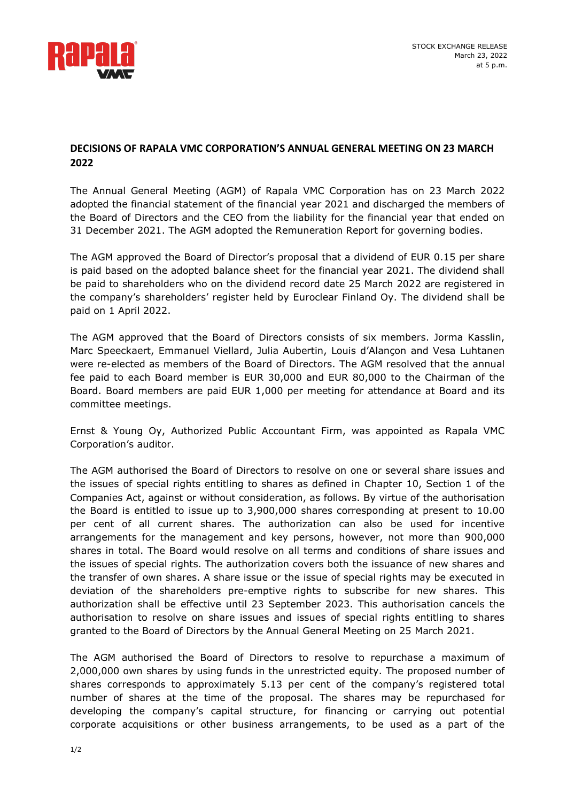

## **DECISIONS OF RAPALA VMC CORPORATION'S ANNUAL GENERAL MEETING ON 23 MARCH 2022**

The Annual General Meeting (AGM) of Rapala VMC Corporation has on 23 March 2022 adopted the financial statement of the financial year 2021 and discharged the members of the Board of Directors and the CEO from the liability for the financial year that ended on 31 December 2021. The AGM adopted the Remuneration Report for governing bodies.

The AGM approved the Board of Director's proposal that a dividend of EUR 0.15 per share is paid based on the adopted balance sheet for the financial year 2021. The dividend shall be paid to shareholders who on the dividend record date 25 March 2022 are registered in the company's shareholders' register held by Euroclear Finland Oy. The dividend shall be paid on 1 April 2022.

The AGM approved that the Board of Directors consists of six members. Jorma Kasslin, Marc Speeckaert, Emmanuel Viellard, Julia Aubertin, Louis d'Alançon and Vesa Luhtanen were re-elected as members of the Board of Directors. The AGM resolved that the annual fee paid to each Board member is EUR 30,000 and EUR 80,000 to the Chairman of the Board. Board members are paid EUR 1,000 per meeting for attendance at Board and its committee meetings.

Ernst & Young Oy, Authorized Public Accountant Firm, was appointed as Rapala VMC Corporation's auditor.

The AGM authorised the Board of Directors to resolve on one or several share issues and the issues of special rights entitling to shares as defined in Chapter 10, Section 1 of the Companies Act, against or without consideration, as follows. By virtue of the authorisation the Board is entitled to issue up to 3,900,000 shares corresponding at present to 10.00 per cent of all current shares. The authorization can also be used for incentive arrangements for the management and key persons, however, not more than 900,000 shares in total. The Board would resolve on all terms and conditions of share issues and the issues of special rights. The authorization covers both the issuance of new shares and the transfer of own shares. A share issue or the issue of special rights may be executed in deviation of the shareholders pre-emptive rights to subscribe for new shares. This authorization shall be effective until 23 September 2023. This authorisation cancels the authorisation to resolve on share issues and issues of special rights entitling to shares granted to the Board of Directors by the Annual General Meeting on 25 March 2021.

The AGM authorised the Board of Directors to resolve to repurchase a maximum of 2,000,000 own shares by using funds in the unrestricted equity. The proposed number of shares corresponds to approximately 5.13 per cent of the company's registered total number of shares at the time of the proposal. The shares may be repurchased for developing the company's capital structure, for financing or carrying out potential corporate acquisitions or other business arrangements, to be used as a part of the